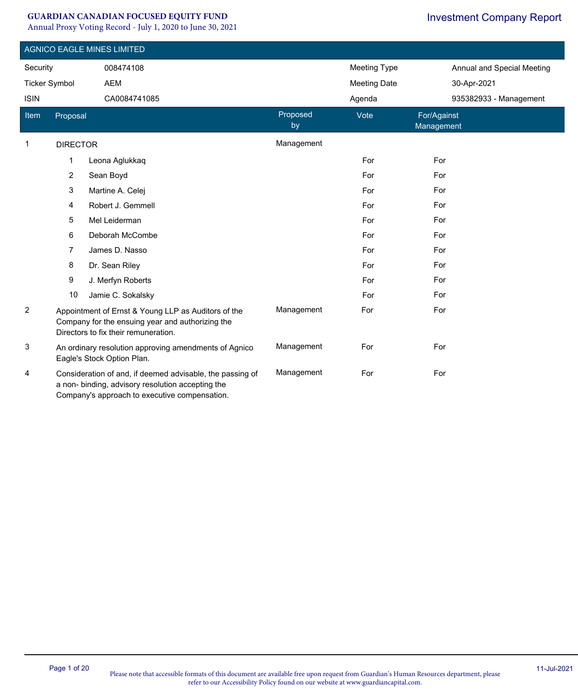#### **GUARDIAN CANADIAN FOCUSED EQUITY FUND**

Annual Proxy Voting Record - July 1, 2020 to June 30, 2021

|                      | <b>AGNICO EAGLE MINES LIMITED</b> |                                                                                                                                                                 |                |                     |                            |  |  |  |
|----------------------|-----------------------------------|-----------------------------------------------------------------------------------------------------------------------------------------------------------------|----------------|---------------------|----------------------------|--|--|--|
| Security             |                                   | 008474108                                                                                                                                                       |                | <b>Meeting Type</b> | Annual and Special Meeting |  |  |  |
| <b>Ticker Symbol</b> |                                   | AEM                                                                                                                                                             |                | <b>Meeting Date</b> | 30-Apr-2021                |  |  |  |
| <b>ISIN</b>          |                                   | CA0084741085                                                                                                                                                    |                | Agenda              | 935382933 - Management     |  |  |  |
| Item                 | Proposal                          |                                                                                                                                                                 | Proposed<br>by | Vote                | For/Against<br>Management  |  |  |  |
| $\mathbf 1$          | <b>DIRECTOR</b>                   |                                                                                                                                                                 | Management     |                     |                            |  |  |  |
|                      | $\mathbf{1}$                      | Leona Aglukkaq                                                                                                                                                  |                | For                 | For                        |  |  |  |
|                      | $\overline{2}$                    | Sean Boyd                                                                                                                                                       |                | For                 | For                        |  |  |  |
|                      | 3                                 | Martine A. Celej                                                                                                                                                |                | For                 | For                        |  |  |  |
|                      | 4                                 | Robert J. Gemmell                                                                                                                                               |                | For                 | For                        |  |  |  |
|                      | 5                                 | Mel Leiderman                                                                                                                                                   |                | For                 | For                        |  |  |  |
|                      | 6                                 | Deborah McCombe                                                                                                                                                 |                | For                 | For                        |  |  |  |
|                      | $\overline{7}$                    | James D. Nasso                                                                                                                                                  |                | For                 | For                        |  |  |  |
|                      | 8                                 | Dr. Sean Riley                                                                                                                                                  |                | For                 | For                        |  |  |  |
|                      | 9                                 | J. Merfyn Roberts                                                                                                                                               |                | For                 | For                        |  |  |  |
|                      | 10                                | Jamie C. Sokalsky                                                                                                                                               |                | For                 | For                        |  |  |  |
| $\overline{2}$       |                                   | Appointment of Ernst & Young LLP as Auditors of the<br>Company for the ensuing year and authorizing the<br>Directors to fix their remuneration.                 | Management     | For                 | For                        |  |  |  |
| 3                    |                                   | An ordinary resolution approving amendments of Agnico<br>Eagle's Stock Option Plan.                                                                             | Management     | For                 | For                        |  |  |  |
| 4                    |                                   | Consideration of and, if deemed advisable, the passing of<br>a non- binding, advisory resolution accepting the<br>Company's approach to executive compensation. | Management     | For                 | For                        |  |  |  |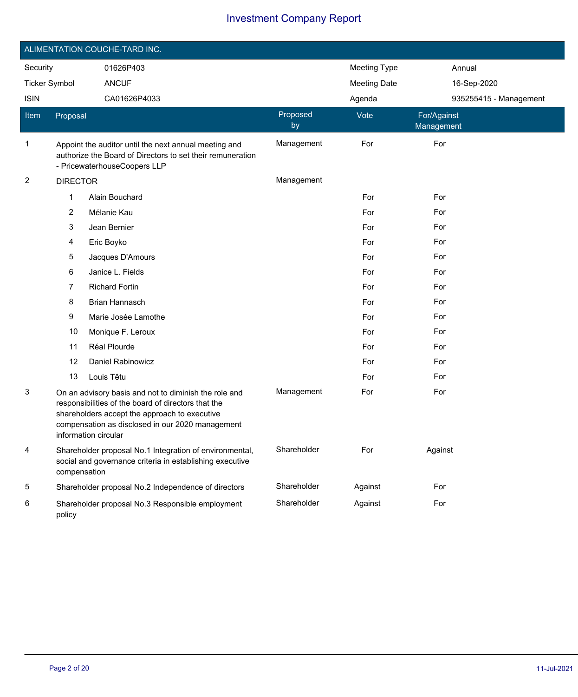|                         |                 | ALIMENTATION COUCHE-TARD INC.                                                                                                                                                                                                             |                |                     |                           |  |
|-------------------------|-----------------|-------------------------------------------------------------------------------------------------------------------------------------------------------------------------------------------------------------------------------------------|----------------|---------------------|---------------------------|--|
| Security                |                 | 01626P403                                                                                                                                                                                                                                 |                | <b>Meeting Type</b> | Annual                    |  |
| <b>Ticker Symbol</b>    |                 | <b>ANCUF</b>                                                                                                                                                                                                                              |                | <b>Meeting Date</b> | 16-Sep-2020               |  |
| <b>ISIN</b>             |                 | CA01626P4033                                                                                                                                                                                                                              |                | Agenda              | 935255415 - Management    |  |
| Item                    | Proposal        |                                                                                                                                                                                                                                           | Proposed<br>by | Vote                | For/Against<br>Management |  |
| 1                       |                 | Appoint the auditor until the next annual meeting and<br>authorize the Board of Directors to set their remuneration<br>- PricewaterhouseCoopers LLP                                                                                       | Management     | For                 | For                       |  |
| $\overline{\mathbf{c}}$ | <b>DIRECTOR</b> |                                                                                                                                                                                                                                           | Management     |                     |                           |  |
|                         | 1               | Alain Bouchard                                                                                                                                                                                                                            |                | For                 | For                       |  |
|                         | 2               | Mélanie Kau                                                                                                                                                                                                                               |                | For                 | For                       |  |
|                         | 3               | Jean Bernier                                                                                                                                                                                                                              |                | For                 | For                       |  |
|                         | 4               | Eric Boyko                                                                                                                                                                                                                                |                | For                 | For                       |  |
|                         | 5               | Jacques D'Amours                                                                                                                                                                                                                          |                | For                 | For                       |  |
|                         | 6               | Janice L. Fields                                                                                                                                                                                                                          |                | For                 | For                       |  |
|                         | 7               | <b>Richard Fortin</b>                                                                                                                                                                                                                     |                | For                 | For                       |  |
|                         | 8               | Brian Hannasch                                                                                                                                                                                                                            |                | For                 | For                       |  |
|                         | 9               | Marie Josée Lamothe                                                                                                                                                                                                                       |                | For                 | For                       |  |
|                         | 10              | Monique F. Leroux                                                                                                                                                                                                                         |                | For                 | For                       |  |
|                         | 11              | Réal Plourde                                                                                                                                                                                                                              |                | For                 | For                       |  |
|                         | 12              | Daniel Rabinowicz                                                                                                                                                                                                                         |                | For                 | For                       |  |
|                         | 13              | Louis Têtu                                                                                                                                                                                                                                |                | For                 | For                       |  |
| 3                       |                 | On an advisory basis and not to diminish the role and<br>responsibilities of the board of directors that the<br>shareholders accept the approach to executive<br>compensation as disclosed in our 2020 management<br>information circular | Management     | For                 | For                       |  |
| 4                       | compensation    | Shareholder proposal No.1 Integration of environmental,<br>social and governance criteria in establishing executive                                                                                                                       | Shareholder    | For                 | Against                   |  |
| 5                       |                 | Shareholder proposal No.2 Independence of directors                                                                                                                                                                                       | Shareholder    | Against             | For                       |  |
| 6                       | policy          | Shareholder proposal No.3 Responsible employment                                                                                                                                                                                          | Shareholder    | Against             | For                       |  |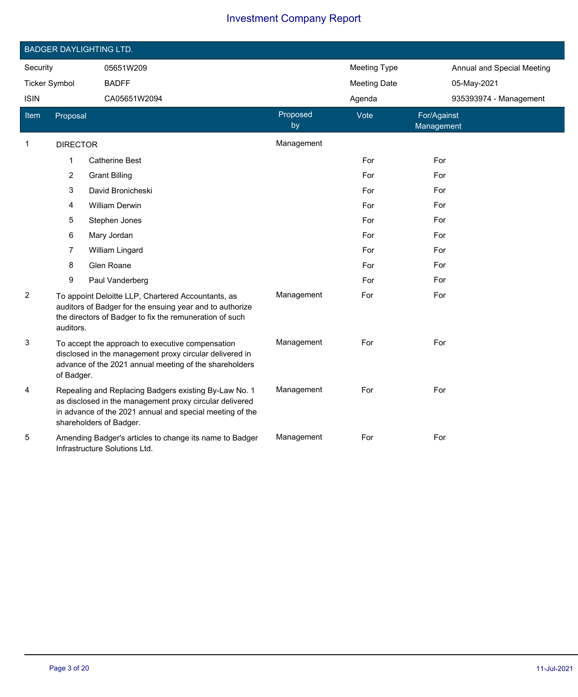|                                     |                 | <b>BADGER DAYLIGHTING LTD.</b>                                                                                                                                                                          |                     |                            |                           |
|-------------------------------------|-----------------|---------------------------------------------------------------------------------------------------------------------------------------------------------------------------------------------------------|---------------------|----------------------------|---------------------------|
| Security                            |                 | 05651W209                                                                                                                                                                                               | <b>Meeting Type</b> | Annual and Special Meeting |                           |
| <b>Ticker Symbol</b><br><b>ISIN</b> |                 | <b>BADFF</b>                                                                                                                                                                                            |                     | <b>Meeting Date</b>        | 05-May-2021               |
|                                     |                 | CA05651W2094                                                                                                                                                                                            |                     | Agenda                     | 935393974 - Management    |
| Item                                | Proposal        |                                                                                                                                                                                                         | Proposed<br>by      | Vote                       | For/Against<br>Management |
| $\mathbf{1}$                        | <b>DIRECTOR</b> |                                                                                                                                                                                                         | Management          |                            |                           |
|                                     | 1               | <b>Catherine Best</b>                                                                                                                                                                                   |                     | For                        | For                       |
|                                     | $\overline{c}$  | <b>Grant Billing</b>                                                                                                                                                                                    |                     | For                        | For                       |
|                                     | 3               | David Bronicheski                                                                                                                                                                                       |                     | For                        | For                       |
|                                     | 4               | <b>William Derwin</b>                                                                                                                                                                                   |                     | For                        | For                       |
|                                     | 5               | Stephen Jones                                                                                                                                                                                           |                     | For                        | For                       |
|                                     | 6               | Mary Jordan                                                                                                                                                                                             |                     | For                        | For                       |
|                                     | 7               | William Lingard                                                                                                                                                                                         |                     | For                        | For                       |
|                                     | 8               | Glen Roane                                                                                                                                                                                              |                     | For                        | For                       |
|                                     | 9               | Paul Vanderberg                                                                                                                                                                                         |                     | For                        | For                       |
| 2                                   | auditors.       | To appoint Deloitte LLP, Chartered Accountants, as<br>auditors of Badger for the ensuing year and to authorize<br>the directors of Badger to fix the remuneration of such                               | Management          | For                        | For                       |
| 3                                   | of Badger.      | To accept the approach to executive compensation<br>disclosed in the management proxy circular delivered in<br>advance of the 2021 annual meeting of the shareholders                                   | Management          | For                        | For                       |
| 4                                   |                 | Repealing and Replacing Badgers existing By-Law No. 1<br>as disclosed in the management proxy circular delivered<br>in advance of the 2021 annual and special meeting of the<br>shareholders of Badger. | Management          | For                        | For                       |
| 5                                   |                 | Amending Badger's articles to change its name to Badger<br>Infrastructure Solutions Ltd.                                                                                                                | Management          | For                        | For                       |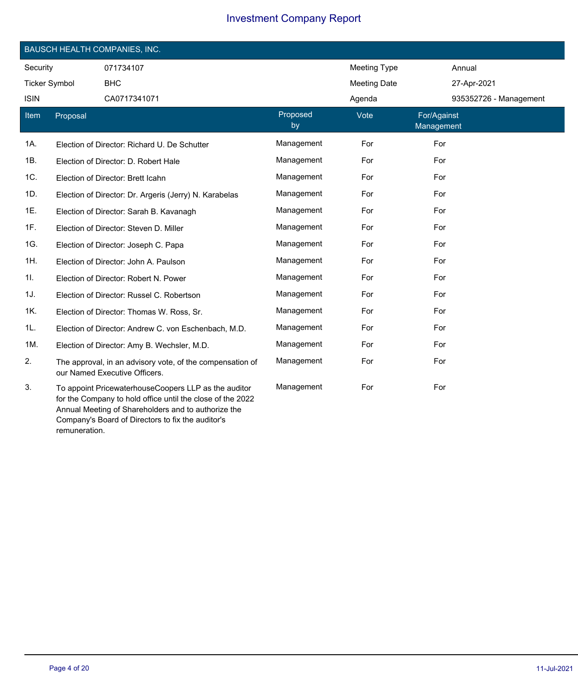|                      | <b>BAUSCH HEALTH COMPANIES, INC.</b> |                                                                                                                                                                           |                |                     |                           |  |  |  |
|----------------------|--------------------------------------|---------------------------------------------------------------------------------------------------------------------------------------------------------------------------|----------------|---------------------|---------------------------|--|--|--|
| Security             |                                      | 071734107                                                                                                                                                                 |                | Meeting Type        | Annual                    |  |  |  |
| <b>Ticker Symbol</b> |                                      | <b>BHC</b>                                                                                                                                                                |                | <b>Meeting Date</b> | 27-Apr-2021               |  |  |  |
| <b>ISIN</b>          |                                      | CA0717341071                                                                                                                                                              |                | Agenda              | 935352726 - Management    |  |  |  |
| Item                 | Proposal                             |                                                                                                                                                                           | Proposed<br>by | Vote                | For/Against<br>Management |  |  |  |
| 1A.                  |                                      | Election of Director: Richard U. De Schutter                                                                                                                              | Management     | For                 | For                       |  |  |  |
| 1B.                  |                                      | Election of Director: D. Robert Hale                                                                                                                                      | Management     | For                 | For                       |  |  |  |
| 1C.                  |                                      | Election of Director: Brett Icahn                                                                                                                                         | Management     | For                 | For                       |  |  |  |
| 1D.                  |                                      | Election of Director: Dr. Argeris (Jerry) N. Karabelas                                                                                                                    | Management     | For                 | For                       |  |  |  |
| 1E.                  |                                      | Election of Director: Sarah B. Kavanagh                                                                                                                                   | Management     | For                 | For                       |  |  |  |
| 1F.                  |                                      | Election of Director: Steven D. Miller                                                                                                                                    | Management     | For                 | For                       |  |  |  |
| 1G.                  |                                      | Election of Director: Joseph C. Papa                                                                                                                                      | Management     | For                 | For                       |  |  |  |
| 1H.                  |                                      | Election of Director: John A. Paulson                                                                                                                                     | Management     | For                 | For                       |  |  |  |
| 1I.                  |                                      | Election of Director: Robert N. Power                                                                                                                                     | Management     | For                 | For                       |  |  |  |
| 1J.                  |                                      | Election of Director: Russel C. Robertson                                                                                                                                 | Management     | For                 | For                       |  |  |  |
| 1K.                  |                                      | Election of Director: Thomas W. Ross, Sr.                                                                                                                                 | Management     | For                 | For                       |  |  |  |
| 1L.                  |                                      | Election of Director: Andrew C. von Eschenbach, M.D.                                                                                                                      | Management     | For                 | For                       |  |  |  |
| 1M.                  |                                      | Election of Director: Amy B. Wechsler, M.D.                                                                                                                               | Management     | For                 | For                       |  |  |  |
| 2.                   |                                      | The approval, in an advisory vote, of the compensation of<br>our Named Executive Officers.                                                                                | Management     | For                 | For                       |  |  |  |
| 3.                   |                                      | To appoint PricewaterhouseCoopers LLP as the auditor<br>for the Company to hold office until the close of the 2022<br>Annual Meeting of Shareholders and to authorize the | Management     | For                 | For                       |  |  |  |

remuneration.

Company's Board of Directors to fix the auditor's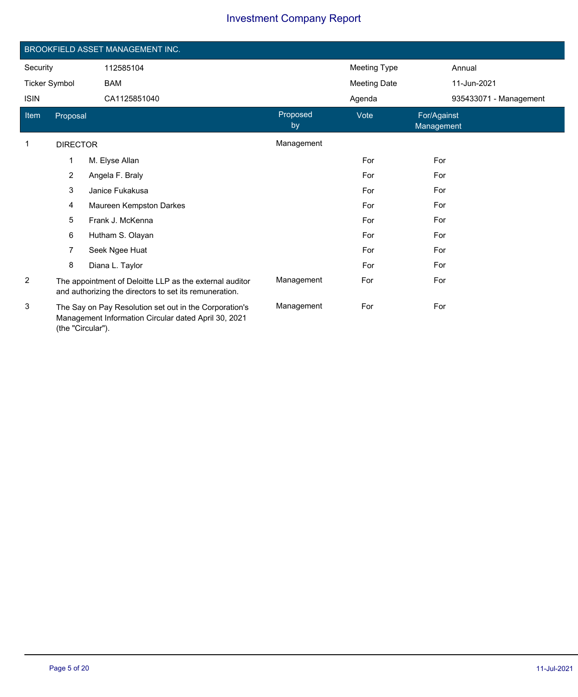|                      |                 | BROOKFIELD ASSET MANAGEMENT INC.                                                                                  |                |                     |                           |                        |
|----------------------|-----------------|-------------------------------------------------------------------------------------------------------------------|----------------|---------------------|---------------------------|------------------------|
| Security             |                 | 112585104                                                                                                         |                | <b>Meeting Type</b> |                           | Annual                 |
| <b>Ticker Symbol</b> |                 | <b>BAM</b>                                                                                                        |                | <b>Meeting Date</b> |                           | 11-Jun-2021            |
| <b>ISIN</b>          |                 | CA1125851040                                                                                                      |                | Agenda              |                           | 935433071 - Management |
| Item                 | Proposal        |                                                                                                                   | Proposed<br>by | Vote                | For/Against<br>Management |                        |
| 1                    | <b>DIRECTOR</b> |                                                                                                                   | Management     |                     |                           |                        |
|                      | 1               | M. Elyse Allan                                                                                                    |                | For                 | For                       |                        |
|                      | $\overline{2}$  | Angela F. Braly                                                                                                   |                | For                 | For                       |                        |
|                      | 3               | Janice Fukakusa                                                                                                   |                | For                 | For                       |                        |
|                      | $\overline{4}$  | Maureen Kempston Darkes                                                                                           |                | For                 | For                       |                        |
|                      | 5               | Frank J. McKenna                                                                                                  |                | For                 | For                       |                        |
|                      | 6               | Hutham S. Olayan                                                                                                  |                | For                 | For                       |                        |
|                      | 7               | Seek Ngee Huat                                                                                                    |                | For                 | For                       |                        |
|                      | 8               | Diana L. Taylor                                                                                                   |                | For                 | For                       |                        |
| $\overline{2}$       |                 | The appointment of Deloitte LLP as the external auditor<br>and authorizing the directors to set its remuneration. | Management     | For                 | For                       |                        |
| 3                    |                 | The Say on Pay Resolution set out in the Corporation's<br>Managament Information Circular dated April 20, 2021    | Management     | For                 | For                       |                        |

Management Information Circular dated April 30, 2021 (the "Circular").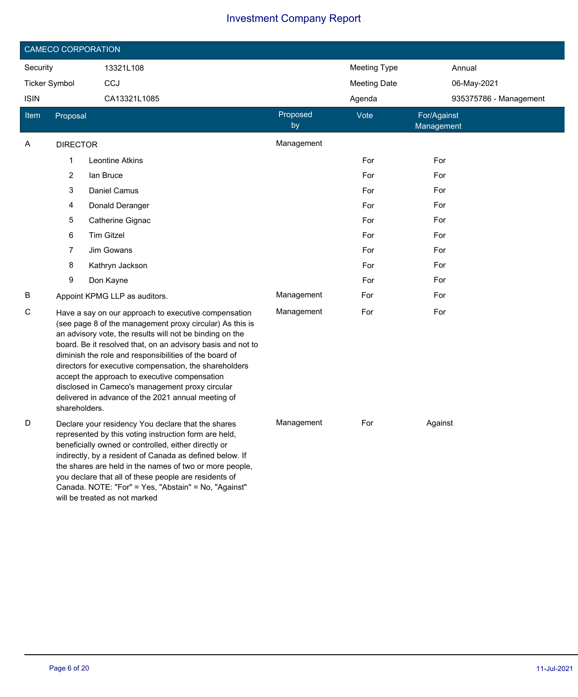|                      |                 | <b>CAMECO CORPORATION</b>                                                                                                                                                                                                                                                                                                                                                                                                                                                                                                 |                |                     |                           |
|----------------------|-----------------|---------------------------------------------------------------------------------------------------------------------------------------------------------------------------------------------------------------------------------------------------------------------------------------------------------------------------------------------------------------------------------------------------------------------------------------------------------------------------------------------------------------------------|----------------|---------------------|---------------------------|
| Security             |                 | 13321L108                                                                                                                                                                                                                                                                                                                                                                                                                                                                                                                 |                | <b>Meeting Type</b> | Annual                    |
| <b>Ticker Symbol</b> |                 | CCJ                                                                                                                                                                                                                                                                                                                                                                                                                                                                                                                       |                | <b>Meeting Date</b> | 06-May-2021               |
| <b>ISIN</b>          |                 | CA13321L1085                                                                                                                                                                                                                                                                                                                                                                                                                                                                                                              |                | Agenda              | 935375786 - Management    |
| <b>Item</b>          | Proposal        |                                                                                                                                                                                                                                                                                                                                                                                                                                                                                                                           | Proposed<br>by | Vote                | For/Against<br>Management |
| Α                    | <b>DIRECTOR</b> |                                                                                                                                                                                                                                                                                                                                                                                                                                                                                                                           | Management     |                     |                           |
|                      | 1               | Leontine Atkins                                                                                                                                                                                                                                                                                                                                                                                                                                                                                                           |                | For                 | For                       |
|                      | 2               | lan Bruce                                                                                                                                                                                                                                                                                                                                                                                                                                                                                                                 |                | For                 | For                       |
|                      | 3               | Daniel Camus                                                                                                                                                                                                                                                                                                                                                                                                                                                                                                              |                | For                 | For                       |
|                      | 4               | Donald Deranger                                                                                                                                                                                                                                                                                                                                                                                                                                                                                                           |                | For                 | For                       |
|                      | 5               | Catherine Gignac                                                                                                                                                                                                                                                                                                                                                                                                                                                                                                          |                | For                 | For                       |
|                      | 6               | <b>Tim Gitzel</b>                                                                                                                                                                                                                                                                                                                                                                                                                                                                                                         |                | For                 | For                       |
|                      | 7               | Jim Gowans                                                                                                                                                                                                                                                                                                                                                                                                                                                                                                                |                | For                 | For                       |
|                      | 8               | Kathryn Jackson                                                                                                                                                                                                                                                                                                                                                                                                                                                                                                           |                | For                 | For                       |
|                      | 9               | Don Kayne                                                                                                                                                                                                                                                                                                                                                                                                                                                                                                                 |                | For                 | For                       |
| В                    |                 | Appoint KPMG LLP as auditors.                                                                                                                                                                                                                                                                                                                                                                                                                                                                                             | Management     | For                 | For                       |
| С                    | shareholders.   | Have a say on our approach to executive compensation<br>(see page 8 of the management proxy circular) As this is<br>an advisory vote, the results will not be binding on the<br>board. Be it resolved that, on an advisory basis and not to<br>diminish the role and responsibilities of the board of<br>directors for executive compensation, the shareholders<br>accept the approach to executive compensation<br>disclosed in Cameco's management proxy circular<br>delivered in advance of the 2021 annual meeting of | Management     | For                 | For                       |
| D                    |                 | Declare your residency You declare that the shares<br>represented by this voting instruction form are held,<br>beneficially owned or controlled, either directly or<br>indirectly, by a resident of Canada as defined below. If<br>the shares are held in the names of two or more people,<br>you declare that all of these people are residents of<br>Canada. NOTE: "For" = Yes, "Abstain" = No, "Against"<br>will be treated as not marked                                                                              | Management     | For                 | Against                   |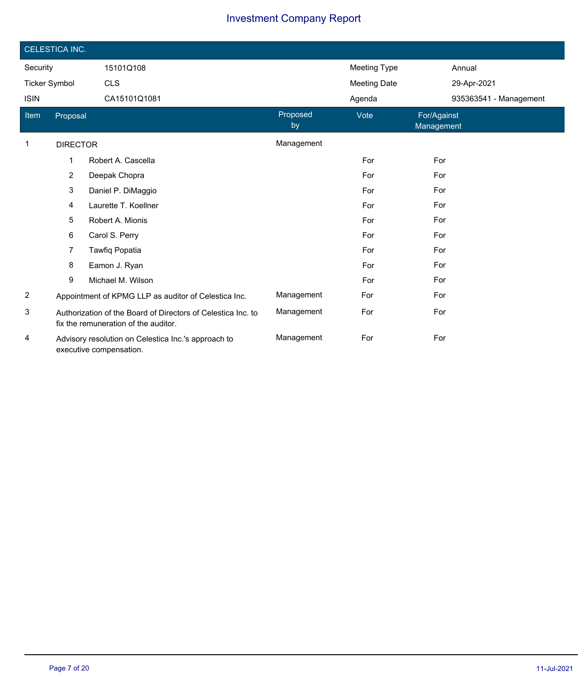|                | CELESTICA INC.  |                                                                                                      |                |                     |                           |  |  |  |
|----------------|-----------------|------------------------------------------------------------------------------------------------------|----------------|---------------------|---------------------------|--|--|--|
| Security       |                 | 15101Q108                                                                                            |                | <b>Meeting Type</b> | Annual                    |  |  |  |
| Ticker Symbol  |                 | <b>CLS</b>                                                                                           |                | <b>Meeting Date</b> | 29-Apr-2021               |  |  |  |
| <b>ISIN</b>    |                 | CA15101Q1081                                                                                         |                | Agenda              | 935363541 - Management    |  |  |  |
| Item           | Proposal        |                                                                                                      | Proposed<br>by | Vote                | For/Against<br>Management |  |  |  |
| 1              | <b>DIRECTOR</b> |                                                                                                      | Management     |                     |                           |  |  |  |
|                | 1               | Robert A. Cascella                                                                                   |                | For                 | For                       |  |  |  |
|                | $\overline{2}$  | Deepak Chopra                                                                                        |                | For                 | For                       |  |  |  |
|                | 3               | Daniel P. DiMaggio                                                                                   |                | For                 | For                       |  |  |  |
|                | 4               | Laurette T. Koellner                                                                                 |                | For                 | For                       |  |  |  |
|                | 5               | Robert A. Mionis                                                                                     |                | For                 | For                       |  |  |  |
|                | 6               | Carol S. Perry                                                                                       |                | For                 | For                       |  |  |  |
|                | 7               | Tawfiq Popatia                                                                                       |                | For                 | For                       |  |  |  |
|                | 8               | Eamon J. Ryan                                                                                        |                | For                 | For                       |  |  |  |
|                | 9               | Michael M. Wilson                                                                                    |                | For                 | For                       |  |  |  |
| $\overline{2}$ |                 | Appointment of KPMG LLP as auditor of Celestica Inc.                                                 | Management     | For                 | For                       |  |  |  |
| 3              |                 | Authorization of the Board of Directors of Celestica Inc. to<br>fix the remuneration of the auditor. | Management     | For                 | For                       |  |  |  |
| 4              |                 | Advisory resolution on Celestica Inc.'s approach to<br>executive compensation.                       | Management     | For                 | For                       |  |  |  |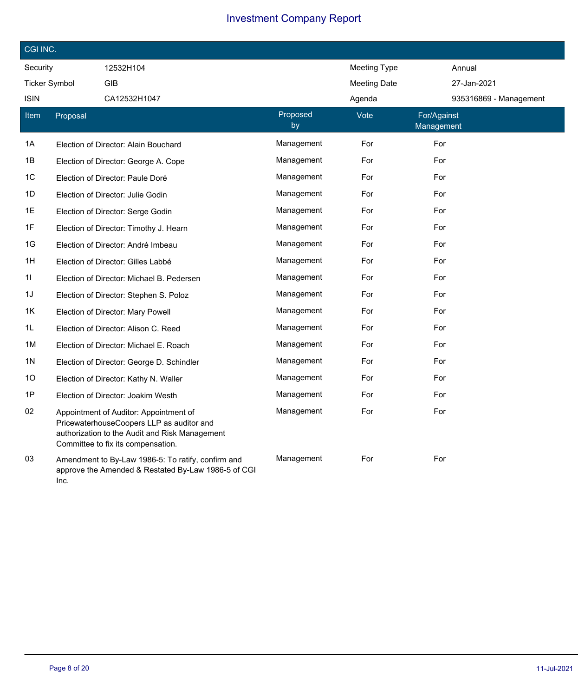| CGI INC.             |          |                                                                                                                                                                             |                |                     |                           |  |  |
|----------------------|----------|-----------------------------------------------------------------------------------------------------------------------------------------------------------------------------|----------------|---------------------|---------------------------|--|--|
| Security             |          | 12532H104                                                                                                                                                                   |                | <b>Meeting Type</b> | Annual                    |  |  |
| <b>Ticker Symbol</b> |          | GIB                                                                                                                                                                         |                | <b>Meeting Date</b> | 27-Jan-2021               |  |  |
| <b>ISIN</b>          |          | CA12532H1047                                                                                                                                                                |                | Agenda              | 935316869 - Management    |  |  |
| Item                 | Proposal |                                                                                                                                                                             | Proposed<br>by | Vote                | For/Against<br>Management |  |  |
| 1A                   |          | Election of Director: Alain Bouchard                                                                                                                                        | Management     | For                 | For                       |  |  |
| 1B                   |          | Election of Director: George A. Cope                                                                                                                                        | Management     | For                 | For                       |  |  |
| 1C                   |          | Election of Director: Paule Doré                                                                                                                                            | Management     | For                 | For                       |  |  |
| 1D                   |          | Election of Director: Julie Godin                                                                                                                                           | Management     | For                 | For                       |  |  |
| 1E                   |          | Election of Director: Serge Godin                                                                                                                                           | Management     | For                 | For                       |  |  |
| 1F                   |          | Election of Director: Timothy J. Hearn                                                                                                                                      | Management     | For                 | For                       |  |  |
| 1G                   |          | Election of Director: André Imbeau                                                                                                                                          | Management     | For                 | For                       |  |  |
| 1H                   |          | Election of Director: Gilles Labbé                                                                                                                                          | Management     | For                 | For                       |  |  |
| 11                   |          | Election of Director: Michael B. Pedersen                                                                                                                                   | Management     | For                 | For                       |  |  |
| 1J                   |          | Election of Director: Stephen S. Poloz                                                                                                                                      | Management     | For                 | For                       |  |  |
| 1K                   |          | Election of Director: Mary Powell                                                                                                                                           | Management     | For                 | For                       |  |  |
| 1L                   |          | Election of Director: Alison C. Reed                                                                                                                                        | Management     | For                 | For                       |  |  |
| 1M                   |          | Election of Director: Michael E. Roach                                                                                                                                      | Management     | For                 | For                       |  |  |
| 1N                   |          | Election of Director: George D. Schindler                                                                                                                                   | Management     | For                 | For                       |  |  |
| 10                   |          | Election of Director: Kathy N. Waller                                                                                                                                       | Management     | For                 | For                       |  |  |
| 1P                   |          | Election of Director: Joakim Westh                                                                                                                                          | Management     | For                 | For                       |  |  |
| 02                   |          | Appointment of Auditor: Appointment of<br>PricewaterhouseCoopers LLP as auditor and<br>authorization to the Audit and Risk Management<br>Committee to fix its compensation. | Management     | For                 | For                       |  |  |
| 03                   | Inc.     | Amendment to By-Law 1986-5: To ratify, confirm and<br>approve the Amended & Restated By-Law 1986-5 of CGI                                                                   | Management     | For                 | For                       |  |  |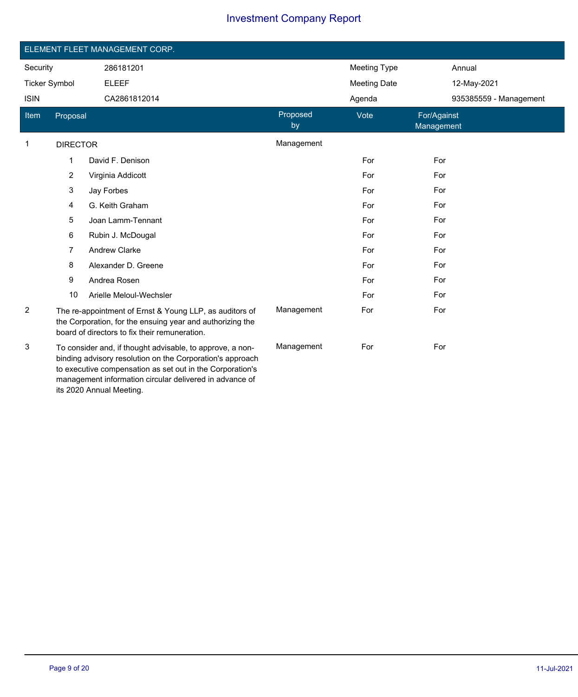|                      |                 | ELEMENT FLEET MANAGEMENT CORP.                                                                                                                                                                                                                                             |                |                     |                           |  |
|----------------------|-----------------|----------------------------------------------------------------------------------------------------------------------------------------------------------------------------------------------------------------------------------------------------------------------------|----------------|---------------------|---------------------------|--|
|                      |                 |                                                                                                                                                                                                                                                                            |                |                     |                           |  |
| Security             |                 | 286181201                                                                                                                                                                                                                                                                  |                | <b>Meeting Type</b> | Annual                    |  |
| <b>Ticker Symbol</b> |                 | <b>ELEEF</b>                                                                                                                                                                                                                                                               |                | <b>Meeting Date</b> | 12-May-2021               |  |
| <b>ISIN</b>          |                 | CA2861812014                                                                                                                                                                                                                                                               |                | Agenda              | 935385559 - Management    |  |
| Item                 | Proposal        |                                                                                                                                                                                                                                                                            | Proposed<br>by | Vote                | For/Against<br>Management |  |
| $\mathbf 1$          | <b>DIRECTOR</b> |                                                                                                                                                                                                                                                                            | Management     |                     |                           |  |
|                      | 1               | David F. Denison                                                                                                                                                                                                                                                           |                | For                 | For                       |  |
|                      | 2               | Virginia Addicott                                                                                                                                                                                                                                                          |                | For                 | For                       |  |
|                      | 3               | Jay Forbes                                                                                                                                                                                                                                                                 |                | For                 | For                       |  |
|                      | 4               | G. Keith Graham                                                                                                                                                                                                                                                            |                | For                 | For                       |  |
|                      | 5               | Joan Lamm-Tennant                                                                                                                                                                                                                                                          |                | For                 | For                       |  |
|                      | 6               | Rubin J. McDougal                                                                                                                                                                                                                                                          |                | For                 | For                       |  |
|                      | 7               | <b>Andrew Clarke</b>                                                                                                                                                                                                                                                       |                | For                 | For                       |  |
|                      | 8               | Alexander D. Greene                                                                                                                                                                                                                                                        |                | For                 | For                       |  |
|                      | 9               | Andrea Rosen                                                                                                                                                                                                                                                               |                | For                 | For                       |  |
|                      | 10              | Arielle Meloul-Wechsler                                                                                                                                                                                                                                                    |                | For                 | For                       |  |
| 2                    |                 | The re-appointment of Ernst & Young LLP, as auditors of<br>the Corporation, for the ensuing year and authorizing the<br>board of directors to fix their remuneration.                                                                                                      | Management     | For                 | For                       |  |
| 3                    |                 | To consider and, if thought advisable, to approve, a non-<br>binding advisory resolution on the Corporation's approach<br>to executive compensation as set out in the Corporation's<br>management information circular delivered in advance of<br>its 2020 Annual Meeting. | Management     | For                 | For                       |  |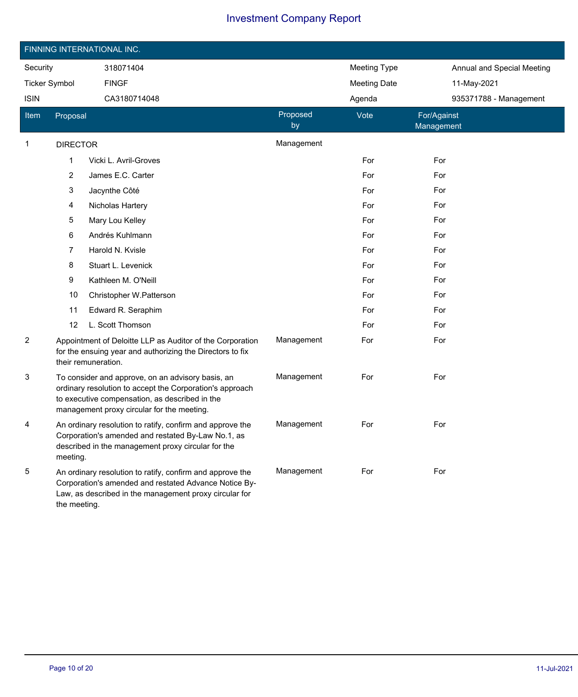|                      |                 | FINNING INTERNATIONAL INC.                                                                                                                                                                                    |                |                     |                            |
|----------------------|-----------------|---------------------------------------------------------------------------------------------------------------------------------------------------------------------------------------------------------------|----------------|---------------------|----------------------------|
| Security             |                 | 318071404                                                                                                                                                                                                     |                | <b>Meeting Type</b> | Annual and Special Meeting |
| <b>Ticker Symbol</b> |                 | <b>FINGF</b>                                                                                                                                                                                                  |                | <b>Meeting Date</b> | 11-May-2021                |
| <b>ISIN</b>          |                 | CA3180714048                                                                                                                                                                                                  |                | Agenda              | 935371788 - Management     |
| <b>Item</b>          | Proposal        |                                                                                                                                                                                                               | Proposed<br>by | Vote                | For/Against<br>Management  |
| 1                    | <b>DIRECTOR</b> |                                                                                                                                                                                                               | Management     |                     |                            |
|                      | 1               | Vicki L. Avril-Groves                                                                                                                                                                                         |                | For                 | For                        |
|                      | 2               | James E.C. Carter                                                                                                                                                                                             |                | For                 | For                        |
|                      | 3               | Jacynthe Côté                                                                                                                                                                                                 |                | For                 | For                        |
|                      | 4               | Nicholas Hartery                                                                                                                                                                                              |                | For                 | For                        |
|                      | 5               | Mary Lou Kelley                                                                                                                                                                                               |                | For                 | For                        |
|                      | 6               | Andrés Kuhlmann                                                                                                                                                                                               |                | For                 | For                        |
|                      | 7               | Harold N. Kvisle                                                                                                                                                                                              |                | For                 | For                        |
|                      | 8               | Stuart L. Levenick                                                                                                                                                                                            |                | For                 | For                        |
|                      | 9               | Kathleen M. O'Neill                                                                                                                                                                                           |                | For                 | For                        |
|                      | 10              | Christopher W.Patterson                                                                                                                                                                                       |                | For                 | For                        |
|                      | 11              | Edward R. Seraphim                                                                                                                                                                                            |                | For                 | For                        |
|                      | 12              | L. Scott Thomson                                                                                                                                                                                              |                | For                 | For                        |
| $\overline{c}$       |                 | Appointment of Deloitte LLP as Auditor of the Corporation<br>for the ensuing year and authorizing the Directors to fix<br>their remuneration.                                                                 | Management     | For                 | For                        |
| 3                    |                 | To consider and approve, on an advisory basis, an<br>ordinary resolution to accept the Corporation's approach<br>to executive compensation, as described in the<br>management proxy circular for the meeting. | Management     | For                 | For                        |
| 4                    | meeting.        | An ordinary resolution to ratify, confirm and approve the<br>Corporation's amended and restated By-Law No.1, as<br>described in the management proxy circular for the                                         | Management     | For                 | For                        |
| 5                    | the meeting.    | An ordinary resolution to ratify, confirm and approve the<br>Corporation's amended and restated Advance Notice By-<br>Law, as described in the management proxy circular for                                  | Management     | For                 | For                        |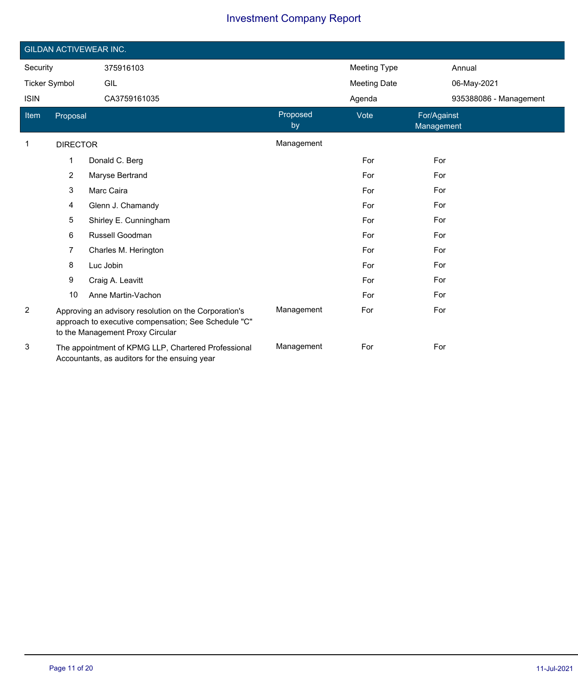|                      | <b>GILDAN ACTIVEWEAR INC.</b> |                                                                                                                                                   |                |                     |                           |  |  |  |
|----------------------|-------------------------------|---------------------------------------------------------------------------------------------------------------------------------------------------|----------------|---------------------|---------------------------|--|--|--|
| Security             |                               | 375916103                                                                                                                                         |                | <b>Meeting Type</b> | Annual                    |  |  |  |
| <b>Ticker Symbol</b> |                               | GIL                                                                                                                                               |                | <b>Meeting Date</b> | 06-May-2021               |  |  |  |
| <b>ISIN</b>          |                               | CA3759161035                                                                                                                                      |                | Agenda              | 935388086 - Management    |  |  |  |
| Item                 | Proposal                      |                                                                                                                                                   | Proposed<br>by | Vote                | For/Against<br>Management |  |  |  |
| $\mathbf 1$          | <b>DIRECTOR</b>               |                                                                                                                                                   | Management     |                     |                           |  |  |  |
|                      | 1                             | Donald C. Berg                                                                                                                                    |                | For                 | For                       |  |  |  |
|                      | $\overline{2}$                | Maryse Bertrand                                                                                                                                   |                | For                 | For                       |  |  |  |
|                      | 3                             | Marc Caira                                                                                                                                        |                | For                 | For                       |  |  |  |
|                      | 4                             | Glenn J. Chamandy                                                                                                                                 |                | For                 | For                       |  |  |  |
|                      | 5                             | Shirley E. Cunningham                                                                                                                             |                | For                 | For                       |  |  |  |
|                      | 6                             | Russell Goodman                                                                                                                                   |                | For                 | For                       |  |  |  |
|                      | 7                             | Charles M. Herington                                                                                                                              |                | For                 | For                       |  |  |  |
|                      | 8                             | Luc Jobin                                                                                                                                         |                | For                 | For                       |  |  |  |
|                      | 9                             | Craig A. Leavitt                                                                                                                                  |                | For                 | For                       |  |  |  |
|                      | 10                            | Anne Martin-Vachon                                                                                                                                |                | For                 | For                       |  |  |  |
| $\overline{c}$       |                               | Approving an advisory resolution on the Corporation's<br>approach to executive compensation; See Schedule "C"<br>to the Management Proxy Circular | Management     | For                 | For                       |  |  |  |
| 3                    |                               | The appointment of KPMG LLP, Chartered Professional<br>Accountants, as auditors for the ensuing year                                              | Management     | For                 | For                       |  |  |  |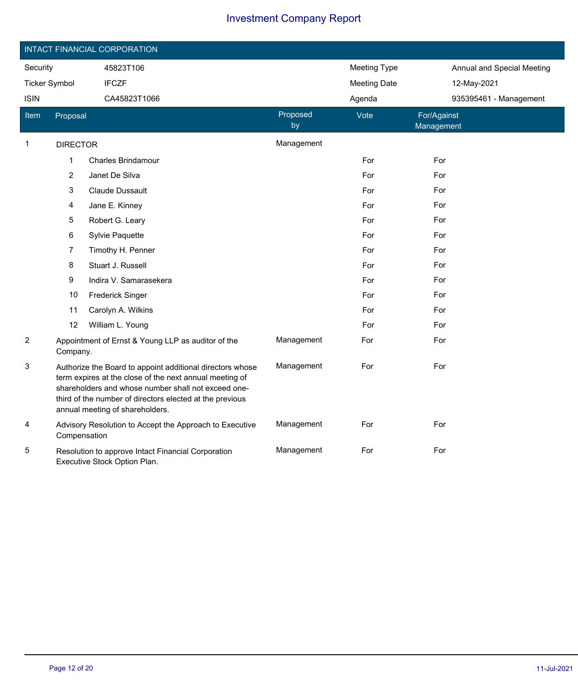|                      |                 | INTACT FINANCIAL CORPORATION                                                                                                                                                                                                                                               |                |                     |                            |
|----------------------|-----------------|----------------------------------------------------------------------------------------------------------------------------------------------------------------------------------------------------------------------------------------------------------------------------|----------------|---------------------|----------------------------|
| Security             |                 | 45823T106                                                                                                                                                                                                                                                                  |                | <b>Meeting Type</b> | Annual and Special Meeting |
| <b>Ticker Symbol</b> |                 | <b>IFCZF</b>                                                                                                                                                                                                                                                               |                | <b>Meeting Date</b> | 12-May-2021                |
| <b>ISIN</b>          |                 | CA45823T1066                                                                                                                                                                                                                                                               |                | Agenda              | 935395461 - Management     |
| <b>Item</b>          | Proposal        |                                                                                                                                                                                                                                                                            | Proposed<br>by | Vote                | For/Against<br>Management  |
| $\mathbf{1}$         | <b>DIRECTOR</b> |                                                                                                                                                                                                                                                                            | Management     |                     |                            |
|                      | 1               | <b>Charles Brindamour</b>                                                                                                                                                                                                                                                  |                | For                 | For                        |
|                      | 2               | Janet De Silva                                                                                                                                                                                                                                                             |                | For                 | For                        |
|                      | 3               | <b>Claude Dussault</b>                                                                                                                                                                                                                                                     |                | For                 | For                        |
|                      | 4               | Jane E. Kinney                                                                                                                                                                                                                                                             |                | For                 | For                        |
|                      | 5               | Robert G. Leary                                                                                                                                                                                                                                                            |                | For                 | For                        |
|                      | 6               | Sylvie Paquette                                                                                                                                                                                                                                                            |                | For                 | For                        |
|                      | 7               | Timothy H. Penner                                                                                                                                                                                                                                                          |                | For                 | For                        |
|                      | 8               | Stuart J. Russell                                                                                                                                                                                                                                                          |                | For                 | For                        |
|                      | 9               | Indira V. Samarasekera                                                                                                                                                                                                                                                     |                | For                 | For                        |
|                      | 10              | <b>Frederick Singer</b>                                                                                                                                                                                                                                                    |                | For                 | For                        |
|                      | 11              | Carolyn A. Wilkins                                                                                                                                                                                                                                                         |                | For                 | For                        |
|                      | 12              | William L. Young                                                                                                                                                                                                                                                           |                | For                 | For                        |
| 2                    | Company.        | Appointment of Ernst & Young LLP as auditor of the                                                                                                                                                                                                                         | Management     | For                 | For                        |
| 3                    |                 | Authorize the Board to appoint additional directors whose<br>term expires at the close of the next annual meeting of<br>shareholders and whose number shall not exceed one-<br>third of the number of directors elected at the previous<br>annual meeting of shareholders. | Management     | For                 | For                        |
| 4                    | Compensation    | Advisory Resolution to Accept the Approach to Executive                                                                                                                                                                                                                    | Management     | For                 | For                        |
| 5                    |                 | Resolution to approve Intact Financial Corporation<br>Executive Stock Option Plan.                                                                                                                                                                                         | Management     | For                 | For                        |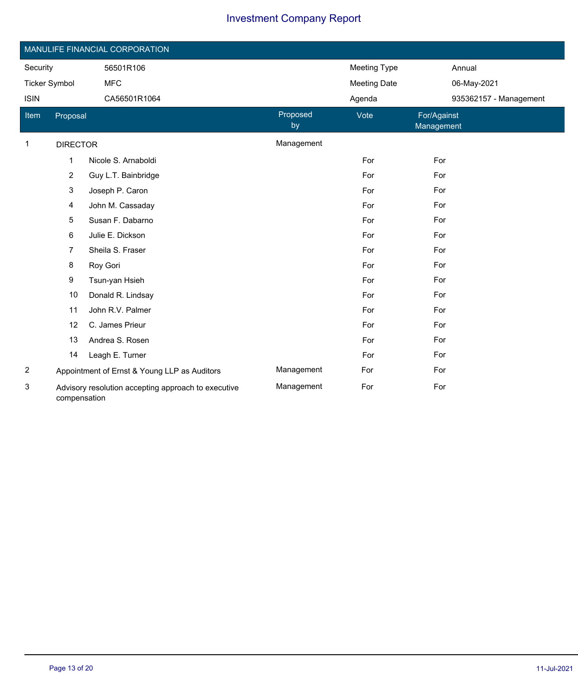| MANULIFE FINANCIAL CORPORATION |                                                                     |                                              |                |                     |                           |  |  |
|--------------------------------|---------------------------------------------------------------------|----------------------------------------------|----------------|---------------------|---------------------------|--|--|
| Security                       |                                                                     | 56501R106                                    |                | Meeting Type        | Annual                    |  |  |
| <b>Ticker Symbol</b>           |                                                                     | <b>MFC</b>                                   |                | <b>Meeting Date</b> | 06-May-2021               |  |  |
| <b>ISIN</b>                    |                                                                     | CA56501R1064                                 |                | Agenda              | 935362157 - Management    |  |  |
| Item                           | Proposal                                                            |                                              | Proposed<br>by | Vote                | For/Against<br>Management |  |  |
| $\mathbf 1$                    | <b>DIRECTOR</b>                                                     |                                              | Management     |                     |                           |  |  |
|                                | 1                                                                   | Nicole S. Arnaboldi                          |                | For                 | For                       |  |  |
|                                | 2                                                                   | Guy L.T. Bainbridge                          |                | For                 | For                       |  |  |
|                                | 3                                                                   | Joseph P. Caron                              |                | For                 | For                       |  |  |
|                                | 4                                                                   | John M. Cassaday                             |                | For                 | For                       |  |  |
|                                | 5                                                                   | Susan F. Dabarno                             |                | For                 | For                       |  |  |
|                                | 6                                                                   | Julie E. Dickson                             |                | For                 | For                       |  |  |
|                                | 7                                                                   | Sheila S. Fraser                             |                | For                 | For                       |  |  |
|                                | 8                                                                   | Roy Gori                                     |                | For                 | For                       |  |  |
|                                | 9                                                                   | Tsun-yan Hsieh                               |                | For                 | For                       |  |  |
|                                | 10                                                                  | Donald R. Lindsay                            |                | For                 | For                       |  |  |
|                                | 11                                                                  | John R.V. Palmer                             |                | For                 | For                       |  |  |
|                                | 12                                                                  | C. James Prieur                              |                | For                 | For                       |  |  |
|                                | 13                                                                  | Andrea S. Rosen                              |                | For                 | For                       |  |  |
|                                | 14                                                                  | Leagh E. Turner                              |                | For                 | For                       |  |  |
| $\overline{c}$                 |                                                                     | Appointment of Ernst & Young LLP as Auditors | Management     | For                 | For                       |  |  |
| 3                              | Advisory resolution accepting approach to executive<br>compensation |                                              | Management     | For                 | For                       |  |  |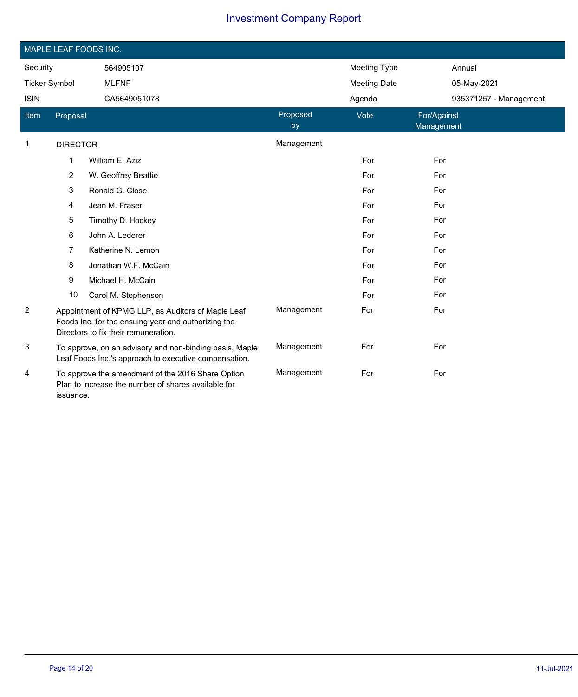|                      |                                                                                                                       | MAPLE LEAF FOODS INC.                                                                                                                             |                |                     |                           |
|----------------------|-----------------------------------------------------------------------------------------------------------------------|---------------------------------------------------------------------------------------------------------------------------------------------------|----------------|---------------------|---------------------------|
| Security             |                                                                                                                       | 564905107                                                                                                                                         |                | Meeting Type        | Annual                    |
| <b>Ticker Symbol</b> |                                                                                                                       | <b>MLFNF</b>                                                                                                                                      |                | <b>Meeting Date</b> | 05-May-2021               |
| <b>ISIN</b>          |                                                                                                                       | CA5649051078                                                                                                                                      |                | Agenda              | 935371257 - Management    |
| Item                 | Proposal                                                                                                              |                                                                                                                                                   | Proposed<br>by | Vote                | For/Against<br>Management |
| 1                    | <b>DIRECTOR</b>                                                                                                       |                                                                                                                                                   | Management     |                     |                           |
|                      | 1                                                                                                                     | William E. Aziz                                                                                                                                   |                | For                 | For                       |
|                      | 2                                                                                                                     | W. Geoffrey Beattie                                                                                                                               |                | For                 | For                       |
|                      | 3                                                                                                                     | Ronald G. Close                                                                                                                                   |                | For                 | For                       |
|                      | 4                                                                                                                     | Jean M. Fraser                                                                                                                                    |                | For                 | For                       |
|                      | 5                                                                                                                     | Timothy D. Hockey                                                                                                                                 |                | For                 | For                       |
|                      | 6                                                                                                                     | John A. Lederer                                                                                                                                   |                | For                 | For                       |
|                      | 7                                                                                                                     | Katherine N. Lemon                                                                                                                                |                | For                 | For                       |
|                      | 8                                                                                                                     | Jonathan W.F. McCain                                                                                                                              |                | For                 | For                       |
|                      | 9                                                                                                                     | Michael H. McCain                                                                                                                                 |                | For                 | For                       |
|                      | 10                                                                                                                    | Carol M. Stephenson                                                                                                                               |                | For                 | For                       |
| $\overline{2}$       |                                                                                                                       | Appointment of KPMG LLP, as Auditors of Maple Leaf<br>Foods Inc. for the ensuing year and authorizing the<br>Directors to fix their remuneration. | Management     | For                 | For                       |
| 3                    | To approve, on an advisory and non-binding basis, Maple<br>Leaf Foods Inc.'s approach to executive compensation.      |                                                                                                                                                   | Management     | For                 | For                       |
| 4                    | To approve the amendment of the 2016 Share Option<br>Plan to increase the number of shares available for<br>issuance. |                                                                                                                                                   | Management     | For                 | For                       |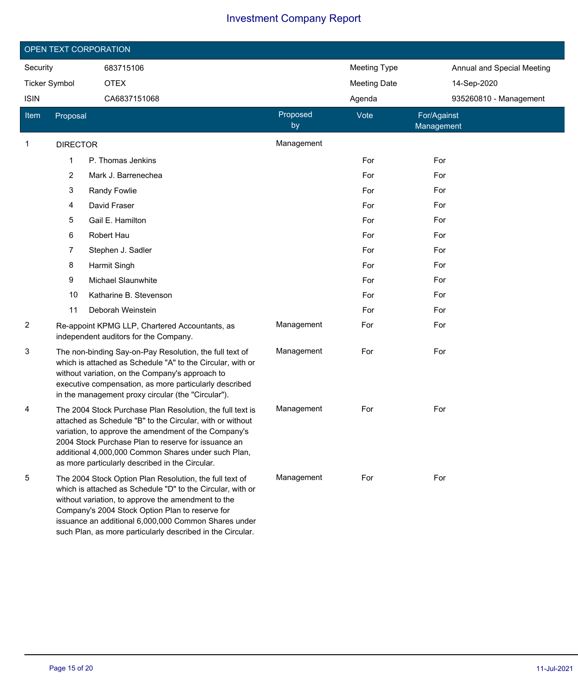| OPEN TEXT CORPORATION |                 |                                                                                                                                                                                                                                                                                                                                                      |                |                     |                           |                            |  |
|-----------------------|-----------------|------------------------------------------------------------------------------------------------------------------------------------------------------------------------------------------------------------------------------------------------------------------------------------------------------------------------------------------------------|----------------|---------------------|---------------------------|----------------------------|--|
| Security              |                 | 683715106                                                                                                                                                                                                                                                                                                                                            |                | <b>Meeting Type</b> |                           | Annual and Special Meeting |  |
| <b>Ticker Symbol</b>  |                 | <b>OTEX</b>                                                                                                                                                                                                                                                                                                                                          |                | <b>Meeting Date</b> | 14-Sep-2020               |                            |  |
| <b>ISIN</b>           |                 | CA6837151068                                                                                                                                                                                                                                                                                                                                         |                | Agenda              |                           | 935260810 - Management     |  |
| Item                  | Proposal        |                                                                                                                                                                                                                                                                                                                                                      | Proposed<br>by | Vote                | For/Against<br>Management |                            |  |
| 1                     | <b>DIRECTOR</b> |                                                                                                                                                                                                                                                                                                                                                      | Management     |                     |                           |                            |  |
|                       | 1               | P. Thomas Jenkins                                                                                                                                                                                                                                                                                                                                    |                | For                 | For                       |                            |  |
|                       | 2               | Mark J. Barrenechea                                                                                                                                                                                                                                                                                                                                  |                | For                 | For                       |                            |  |
|                       | 3               | Randy Fowlie                                                                                                                                                                                                                                                                                                                                         |                | For                 | For                       |                            |  |
|                       | 4               | David Fraser                                                                                                                                                                                                                                                                                                                                         |                | For                 | For                       |                            |  |
|                       | 5               | Gail E. Hamilton                                                                                                                                                                                                                                                                                                                                     |                | For                 | For                       |                            |  |
|                       | 6               | Robert Hau                                                                                                                                                                                                                                                                                                                                           |                | For                 | For                       |                            |  |
|                       | 7               | Stephen J. Sadler                                                                                                                                                                                                                                                                                                                                    |                | For                 | For                       |                            |  |
|                       | 8               | Harmit Singh                                                                                                                                                                                                                                                                                                                                         |                | For                 | For                       |                            |  |
|                       | 9               | Michael Slaunwhite                                                                                                                                                                                                                                                                                                                                   |                | For                 | For                       |                            |  |
|                       | 10              | Katharine B. Stevenson                                                                                                                                                                                                                                                                                                                               |                | For                 | For                       |                            |  |
|                       | 11              | Deborah Weinstein                                                                                                                                                                                                                                                                                                                                    |                | For                 | For                       |                            |  |
| 2                     |                 | Re-appoint KPMG LLP, Chartered Accountants, as<br>independent auditors for the Company.                                                                                                                                                                                                                                                              | Management     | For                 | For                       |                            |  |
| 3                     |                 | The non-binding Say-on-Pay Resolution, the full text of<br>which is attached as Schedule "A" to the Circular, with or<br>without variation, on the Company's approach to<br>executive compensation, as more particularly described<br>in the management proxy circular (the "Circular").                                                             | Management     | For                 | For                       |                            |  |
| 4                     |                 | The 2004 Stock Purchase Plan Resolution, the full text is<br>attached as Schedule "B" to the Circular, with or without<br>variation, to approve the amendment of the Company's<br>2004 Stock Purchase Plan to reserve for issuance an<br>additional 4,000,000 Common Shares under such Plan,<br>as more particularly described in the Circular.      | Management     | For                 | For                       |                            |  |
| 5                     |                 | The 2004 Stock Option Plan Resolution, the full text of<br>which is attached as Schedule "D" to the Circular, with or<br>without variation, to approve the amendment to the<br>Company's 2004 Stock Option Plan to reserve for<br>issuance an additional 6,000,000 Common Shares under<br>such Plan, as more particularly described in the Circular. | Management     | For                 | For                       |                            |  |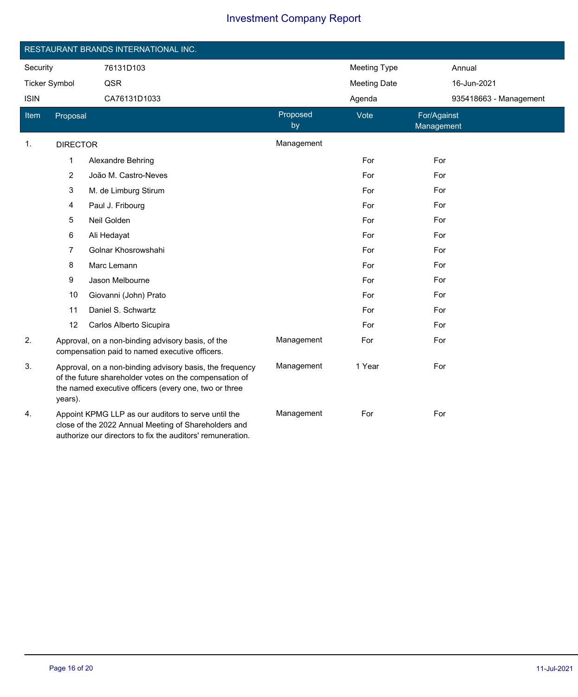|                      |                                                                                                                                                                           | RESTAURANT BRANDS INTERNATIONAL INC.                                                                                                                                        |                |                     |                           |
|----------------------|---------------------------------------------------------------------------------------------------------------------------------------------------------------------------|-----------------------------------------------------------------------------------------------------------------------------------------------------------------------------|----------------|---------------------|---------------------------|
| Security             |                                                                                                                                                                           | 76131D103                                                                                                                                                                   |                | <b>Meeting Type</b> | Annual                    |
| <b>Ticker Symbol</b> |                                                                                                                                                                           | QSR                                                                                                                                                                         |                | <b>Meeting Date</b> | 16-Jun-2021               |
| <b>ISIN</b>          |                                                                                                                                                                           | CA76131D1033                                                                                                                                                                |                | Agenda              | 935418663 - Management    |
| Item                 | Proposal                                                                                                                                                                  |                                                                                                                                                                             | Proposed<br>by | Vote                | For/Against<br>Management |
| 1.                   | <b>DIRECTOR</b>                                                                                                                                                           |                                                                                                                                                                             | Management     |                     |                           |
|                      | 1                                                                                                                                                                         | <b>Alexandre Behring</b>                                                                                                                                                    |                | For                 | For                       |
|                      | $\overline{2}$                                                                                                                                                            | João M. Castro-Neves                                                                                                                                                        |                | For                 | For                       |
|                      | 3                                                                                                                                                                         | M. de Limburg Stirum                                                                                                                                                        |                | For                 | For                       |
|                      | 4                                                                                                                                                                         | Paul J. Fribourg                                                                                                                                                            |                | For                 | For                       |
|                      | 5                                                                                                                                                                         | Neil Golden                                                                                                                                                                 |                | For                 | For                       |
|                      | 6                                                                                                                                                                         | Ali Hedayat                                                                                                                                                                 |                | For                 | For                       |
|                      | 7                                                                                                                                                                         | Golnar Khosrowshahi                                                                                                                                                         |                | For                 | For                       |
|                      | 8                                                                                                                                                                         | Marc Lemann                                                                                                                                                                 |                | For                 | For                       |
|                      | 9                                                                                                                                                                         | Jason Melbourne                                                                                                                                                             |                | For                 | For                       |
|                      | 10                                                                                                                                                                        | Giovanni (John) Prato                                                                                                                                                       |                | For                 | For                       |
|                      | 11                                                                                                                                                                        | Daniel S. Schwartz                                                                                                                                                          |                | For                 | For                       |
|                      | 12                                                                                                                                                                        | Carlos Alberto Sicupira                                                                                                                                                     |                | For                 | For                       |
| 2.                   | Approval, on a non-binding advisory basis, of the<br>compensation paid to named executive officers.                                                                       |                                                                                                                                                                             | Management     | For                 | For                       |
| 3.                   | years).                                                                                                                                                                   | Approval, on a non-binding advisory basis, the frequency<br>of the future shareholder votes on the compensation of<br>the named executive officers (every one, two or three | Management     | 1 Year              | For                       |
| 4.                   | Appoint KPMG LLP as our auditors to serve until the<br>close of the 2022 Annual Meeting of Shareholders and<br>authorize our directors to fix the auditors' remuneration. |                                                                                                                                                                             | Management     | For                 | For                       |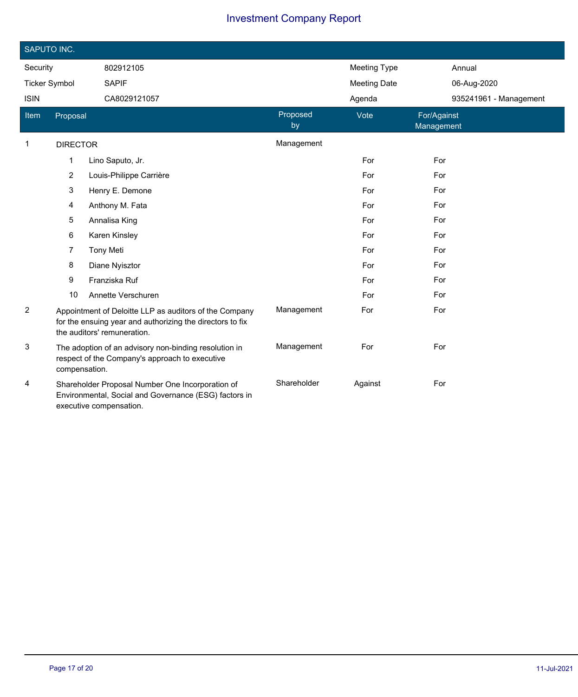| SAPUTO INC.          |                                                                                                                                                    |                         |                |                     |                           |
|----------------------|----------------------------------------------------------------------------------------------------------------------------------------------------|-------------------------|----------------|---------------------|---------------------------|
| Security             |                                                                                                                                                    | 802912105               |                | <b>Meeting Type</b> | Annual                    |
| <b>Ticker Symbol</b> |                                                                                                                                                    | <b>SAPIF</b>            |                | <b>Meeting Date</b> | 06-Aug-2020               |
| <b>ISIN</b>          |                                                                                                                                                    | CA8029121057            |                | Agenda              | 935241961 - Management    |
| Item                 | Proposal                                                                                                                                           |                         | Proposed<br>by | Vote                | For/Against<br>Management |
| $\mathbf{1}$         | <b>DIRECTOR</b>                                                                                                                                    |                         | Management     |                     |                           |
|                      | 1                                                                                                                                                  | Lino Saputo, Jr.        |                | For                 | For                       |
|                      | $\overline{c}$                                                                                                                                     | Louis-Philippe Carrière |                | For                 | For                       |
|                      | 3                                                                                                                                                  | Henry E. Demone         |                | For                 | For                       |
|                      | 4                                                                                                                                                  | Anthony M. Fata         |                | For                 | For                       |
|                      | 5                                                                                                                                                  | Annalisa King           |                | For                 | For                       |
|                      | 6                                                                                                                                                  | Karen Kinsley           |                | For                 | For                       |
|                      | 7                                                                                                                                                  | <b>Tony Meti</b>        |                | For                 | For                       |
|                      | 8                                                                                                                                                  | Diane Nyisztor          |                | For                 | For                       |
|                      | 9                                                                                                                                                  | Franziska Ruf           |                | For                 | For                       |
|                      | 10                                                                                                                                                 | Annette Verschuren      |                | For                 | For                       |
| 2                    | Appointment of Deloitte LLP as auditors of the Company<br>for the ensuing year and authorizing the directors to fix<br>the auditors' remuneration. |                         | Management     | For                 | For                       |
| 3                    | The adoption of an advisory non-binding resolution in<br>respect of the Company's approach to executive<br>compensation.                           |                         | Management     | For                 | For                       |
| 4                    | Shareholder Proposal Number One Incorporation of<br>Environmental, Social and Governance (ESG) factors in<br>executive compensation.               |                         | Shareholder    | Against             | For                       |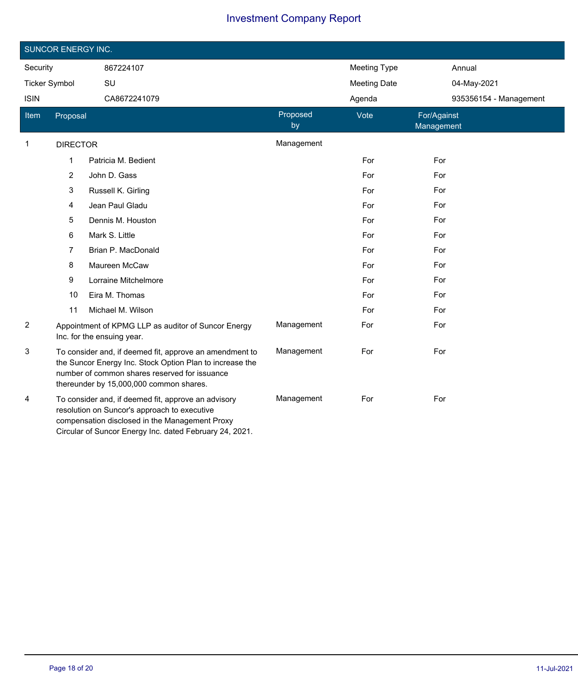|                      | <b>SUNCOR ENERGY INC.</b>                                                                                                                                                                                        |                                                                                   |                |                     |                           |
|----------------------|------------------------------------------------------------------------------------------------------------------------------------------------------------------------------------------------------------------|-----------------------------------------------------------------------------------|----------------|---------------------|---------------------------|
| Security             |                                                                                                                                                                                                                  | 867224107                                                                         |                | <b>Meeting Type</b> | Annual                    |
| <b>Ticker Symbol</b> |                                                                                                                                                                                                                  | SU                                                                                |                | <b>Meeting Date</b> | 04-May-2021               |
| <b>ISIN</b>          |                                                                                                                                                                                                                  | CA8672241079                                                                      |                | Agenda              | 935356154 - Management    |
| Item                 | Proposal                                                                                                                                                                                                         |                                                                                   | Proposed<br>by | Vote                | For/Against<br>Management |
| 1                    | <b>DIRECTOR</b>                                                                                                                                                                                                  |                                                                                   | Management     |                     |                           |
|                      | 1                                                                                                                                                                                                                | Patricia M. Bedient                                                               |                | For                 | For                       |
|                      | $\overline{2}$                                                                                                                                                                                                   | John D. Gass                                                                      |                | For                 | For                       |
|                      | 3                                                                                                                                                                                                                | Russell K. Girling                                                                |                | For                 | For                       |
|                      | 4                                                                                                                                                                                                                | Jean Paul Gladu                                                                   |                | For                 | For                       |
|                      | 5                                                                                                                                                                                                                | Dennis M. Houston                                                                 |                | For                 | For                       |
|                      | 6                                                                                                                                                                                                                | Mark S. Little                                                                    |                | For                 | For                       |
|                      | 7                                                                                                                                                                                                                | Brian P. MacDonald                                                                |                | For                 | For                       |
|                      | 8                                                                                                                                                                                                                | Maureen McCaw                                                                     |                | For                 | For                       |
|                      | 9                                                                                                                                                                                                                | Lorraine Mitchelmore                                                              |                | For                 | For                       |
|                      | 10                                                                                                                                                                                                               | Eira M. Thomas                                                                    |                | For                 | For                       |
|                      | 11                                                                                                                                                                                                               | Michael M. Wilson                                                                 |                | For                 | For                       |
| 2                    |                                                                                                                                                                                                                  | Appointment of KPMG LLP as auditor of Suncor Energy<br>Inc. for the ensuing year. | Management     | For                 | For                       |
| 3                    | To consider and, if deemed fit, approve an amendment to<br>the Suncor Energy Inc. Stock Option Plan to increase the<br>number of common shares reserved for issuance<br>thereunder by 15,000,000 common shares.  |                                                                                   | Management     | For                 | For                       |
| 4                    | To consider and, if deemed fit, approve an advisory<br>resolution on Suncor's approach to executive<br>compensation disclosed in the Management Proxy<br>Circular of Suncor Energy Inc. dated February 24, 2021. |                                                                                   | Management     | For                 | For                       |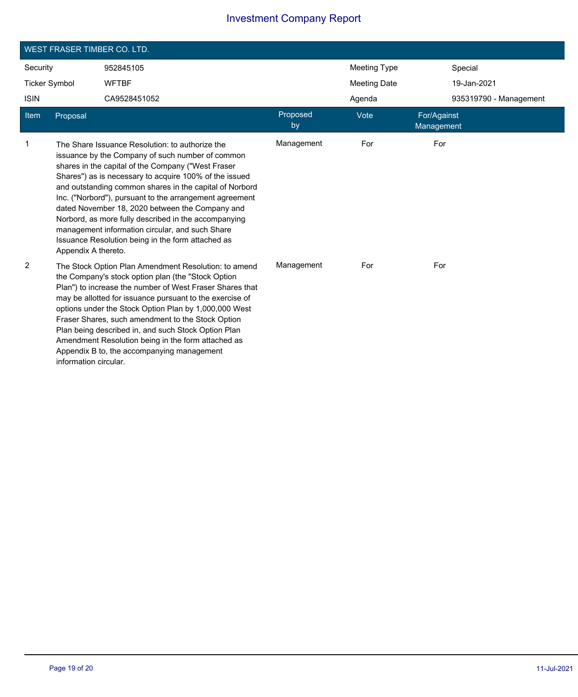| <b>WEST FRASER TIMBER CO. LTD.</b> |                       |                                                                                                                                                                                                                                                                                                                                                                                                                                                                                                                                                              |                |                     |                           |                        |  |
|------------------------------------|-----------------------|--------------------------------------------------------------------------------------------------------------------------------------------------------------------------------------------------------------------------------------------------------------------------------------------------------------------------------------------------------------------------------------------------------------------------------------------------------------------------------------------------------------------------------------------------------------|----------------|---------------------|---------------------------|------------------------|--|
| Security                           |                       | 952845105                                                                                                                                                                                                                                                                                                                                                                                                                                                                                                                                                    |                | <b>Meeting Type</b> |                           | Special                |  |
| <b>Ticker Symbol</b>               |                       | <b>WFTBF</b>                                                                                                                                                                                                                                                                                                                                                                                                                                                                                                                                                 |                | <b>Meeting Date</b> |                           | 19-Jan-2021            |  |
| <b>ISIN</b>                        |                       | CA9528451052                                                                                                                                                                                                                                                                                                                                                                                                                                                                                                                                                 |                | Agenda              |                           | 935319790 - Management |  |
| Item                               | Proposal              |                                                                                                                                                                                                                                                                                                                                                                                                                                                                                                                                                              | Proposed<br>by | Vote                | For/Against<br>Management |                        |  |
| $\mathbf{1}$                       | Appendix A thereto.   | The Share Issuance Resolution: to authorize the<br>issuance by the Company of such number of common<br>shares in the capital of the Company ("West Fraser<br>Shares") as is necessary to acquire 100% of the issued<br>and outstanding common shares in the capital of Norbord<br>Inc. ("Norbord"), pursuant to the arrangement agreement<br>dated November 18, 2020 between the Company and<br>Norbord, as more fully described in the accompanying<br>management information circular, and such Share<br>Issuance Resolution being in the form attached as | Management     | For                 | For                       |                        |  |
| $\overline{2}$                     | information circular. | The Stock Option Plan Amendment Resolution: to amend<br>the Company's stock option plan (the "Stock Option<br>Plan") to increase the number of West Fraser Shares that<br>may be allotted for issuance pursuant to the exercise of<br>options under the Stock Option Plan by 1,000,000 West<br>Fraser Shares, such amendment to the Stock Option<br>Plan being described in, and such Stock Option Plan<br>Amendment Resolution being in the form attached as<br>Appendix B to, the accompanying management                                                  | Management     | For                 | For                       |                        |  |

Ī